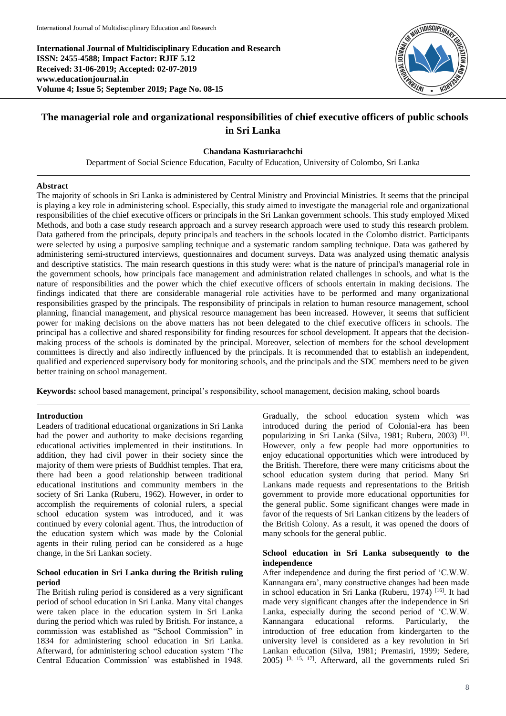**International Journal of Multidisciplinary Education and Research ISSN: 2455-4588; Impact Factor: RJIF 5.12 Received: 31-06-2019; Accepted: 02-07-2019 www.educationjournal.in Volume 4; Issue 5; September 2019; Page No. 08-15**



# **The managerial role and organizational responsibilities of chief executive officers of public schools in Sri Lanka**

### **Chandana Kasturiarachchi**

Department of Social Science Education, Faculty of Education, University of Colombo, Sri Lanka

### **Abstract**

The majority of schools in Sri Lanka is administered by Central Ministry and Provincial Ministries. It seems that the principal is playing a key role in administering school. Especially, this study aimed to investigate the managerial role and organizational responsibilities of the chief executive officers or principals in the Sri Lankan government schools. This study employed Mixed Methods, and both a case study research approach and a survey research approach were used to study this research problem. Data gathered from the principals, deputy principals and teachers in the schools located in the Colombo district. Participants were selected by using a purposive sampling technique and a systematic random sampling technique. Data was gathered by administering semi-structured interviews, questionnaires and document surveys. Data was analyzed using thematic analysis and descriptive statistics. The main research questions in this study were: what is the nature of principal's managerial role in the government schools, how principals face management and administration related challenges in schools, and what is the nature of responsibilities and the power which the chief executive officers of schools entertain in making decisions. The findings indicated that there are considerable managerial role activities have to be performed and many organizational responsibilities grasped by the principals. The responsibility of principals in relation to human resource management, school planning, financial management, and physical resource management has been increased. However, it seems that sufficient power for making decisions on the above matters has not been delegated to the chief executive officers in schools. The principal has a collective and shared responsibility for finding resources for school development. It appears that the decisionmaking process of the schools is dominated by the principal. Moreover, selection of members for the school development committees is directly and also indirectly influenced by the principals. It is recommended that to establish an independent, qualified and experienced supervisory body for monitoring schools, and the principals and the SDC members need to be given better training on school management.

**Keywords:** school based management, principal's responsibility, school management, decision making, school boards

#### **Introduction**

Leaders of traditional educational organizations in Sri Lanka had the power and authority to make decisions regarding educational activities implemented in their institutions. In addition, they had civil power in their society since the majority of them were priests of Buddhist temples. That era, there had been a good relationship between traditional educational institutions and community members in the society of Sri Lanka (Ruberu, 1962). However, in order to accomplish the requirements of colonial rulers, a special school education system was introduced, and it was continued by every colonial agent. Thus, the introduction of the education system which was made by the Colonial agents in their ruling period can be considered as a huge change, in the Sri Lankan society.

# **School education in Sri Lanka during the British ruling period**

The British ruling period is considered as a very significant period of school education in Sri Lanka. Many vital changes were taken place in the education system in Sri Lanka during the period which was ruled by British. For instance, a commission was established as "School Commission" in 1834 for administering school education in Sri Lanka. Afterward, for administering school education system 'The Central Education Commission' was established in 1948.

Gradually, the school education system which was introduced during the period of Colonial-era has been popularizing in Sri Lanka (Silva, 1981; Ruberu, 2003)<sup>[3]</sup>. However, only a few people had more opportunities to enjoy educational opportunities which were introduced by the British. Therefore, there were many criticisms about the school education system during that period. Many Sri Lankans made requests and representations to the British government to provide more educational opportunities for the general public. Some significant changes were made in favor of the requests of Sri Lankan citizens by the leaders of the British Colony. As a result, it was opened the doors of many schools for the general public.

### **School education in Sri Lanka subsequently to the independence**

After independence and during the first period of 'C.W.W. Kannangara era', many constructive changes had been made in school education in Sri Lanka (Ruberu, 1974) [16]. It had made very significant changes after the independence in Sri Lanka, especially during the second period of 'C.W.W. Kannangara educational reforms. Particularly, the introduction of free education from kindergarten to the university level is considered as a key revolution in Sri Lankan education (Silva, 1981; Premasiri, 1999; Sedere, 2005) [3, 15, 17]. Afterward, all the governments ruled Sri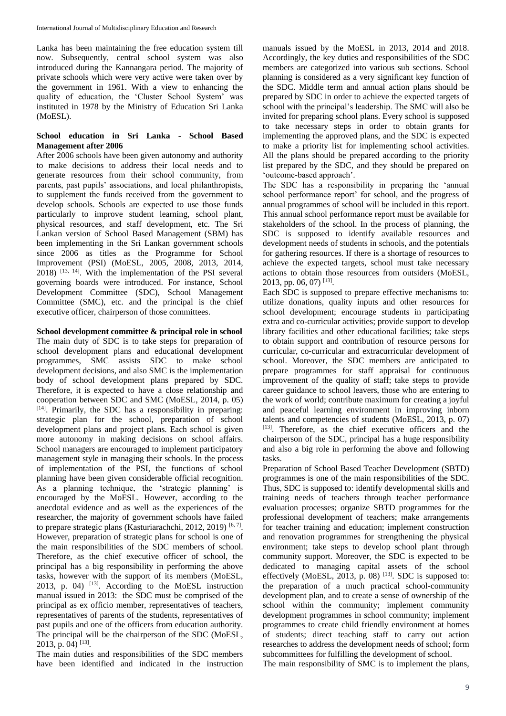Lanka has been maintaining the free education system till now. Subsequently, central school system was also introduced during the Kannangara period. The majority of private schools which were very active were taken over by the government in 1961. With a view to enhancing the quality of education, the 'Cluster School System' was instituted in 1978 by the Ministry of Education Sri Lanka (MoESL).

### **School education in Sri Lanka - School Based Management after 2006**

After 2006 schools have been given autonomy and authority to make decisions to address their local needs and to generate resources from their school community, from parents, past pupils' associations, and local philanthropists, to supplement the funds received from the government to develop schools. Schools are expected to use those funds particularly to improve student learning, school plant, physical resources, and staff development, etc. The Sri Lankan version of School Based Management (SBM) has been implementing in the Sri Lankan government schools since 2006 as titles as the Programme for School Improvement (PSI) (MoESL, 2005, 2008, 2013, 2014,  $2018$ )  $^{[13, 14]}$ . With the implementation of the PSI several governing boards were introduced. For instance, School Development Committee (SDC), School Management Committee (SMC), etc. and the principal is the chief executive officer, chairperson of those committees.

**School development committee & principal role in school**

The main duty of SDC is to take steps for preparation of school development plans and educational development programmes, SMC assists SDC to make school development decisions, and also SMC is the implementation body of school development plans prepared by SDC. Therefore, it is expected to have a close relationship and cooperation between SDC and SMC (MoESL, 2014, p. 05) [14]. Primarily, the SDC has a responsibility in preparing: strategic plan for the school, preparation of school development plans and project plans. Each school is given more autonomy in making decisions on school affairs. School managers are encouraged to implement participatory management style in managing their schools. In the process of implementation of the PSI, the functions of school planning have been given considerable official recognition. As a planning technique, the 'strategic planning' is encouraged by the MoESL. However, according to the anecdotal evidence and as well as the experiences of the researcher, the majority of government schools have failed to prepare strategic plans (Kasturiarachchi, 2012, 2019)<sup>[6,7]</sup>. However, preparation of strategic plans for school is one of the main responsibilities of the SDC members of school. Therefore, as the chief executive officer of school, the principal has a big responsibility in performing the above tasks, however with the support of its members (MoESL, 2013, p. 04)  $^{[13]}$ . According to the MoESL instruction manual issued in 2013: the SDC must be comprised of the principal as ex officio member, representatives of teachers, representatives of parents of the students, representatives of past pupils and one of the officers from education authority. The principal will be the chairperson of the SDC (MoESL, 2013, p. 04)<sup>[13]</sup>.

The main duties and responsibilities of the SDC members have been identified and indicated in the instruction manuals issued by the MoESL in 2013, 2014 and 2018. Accordingly, the key duties and responsibilities of the SDC members are categorized into various sub sections. School planning is considered as a very significant key function of the SDC. Middle term and annual action plans should be prepared by SDC in order to achieve the expected targets of school with the principal's leadership. The SMC will also be invited for preparing school plans. Every school is supposed to take necessary steps in order to obtain grants for implementing the approved plans, and the SDC is expected to make a priority list for implementing school activities. All the plans should be prepared according to the priority list prepared by the SDC, and they should be prepared on 'outcome-based approach'.

The SDC has a responsibility in preparing the 'annual school performance report' for school, and the progress of annual programmes of school will be included in this report. This annual school performance report must be available for stakeholders of the school. In the process of planning, the SDC is supposed to identify available resources and development needs of students in schools, and the potentials for gathering resources. If there is a shortage of resources to achieve the expected targets, school must take necessary actions to obtain those resources from outsiders (MoESL, 2013, pp. 06, 07)<sup>[13]</sup>.

Each SDC is supposed to prepare effective mechanisms to: utilize donations, quality inputs and other resources for school development; encourage students in participating extra and co-curricular activities; provide support to develop library facilities and other educational facilities; take steps to obtain support and contribution of resource persons for curricular, co-curricular and extracurricular development of school. Moreover, the SDC members are anticipated to prepare programmes for staff appraisal for continuous improvement of the quality of staff; take steps to provide career guidance to school leavers, those who are entering to the work of world; contribute maximum for creating a joyful and peaceful learning environment in improving inborn talents and competencies of students (MoESL, 2013, p. 07) [13]. Therefore, as the chief executive officers and the chairperson of the SDC, principal has a huge responsibility and also a big role in performing the above and following tasks.

Preparation of School Based Teacher Development (SBTD) programmes is one of the main responsibilities of the SDC. Thus, SDC is supposed to: identify developmental skills and training needs of teachers through teacher performance evaluation processes; organize SBTD programmes for the professional development of teachers; make arrangements for teacher training and education; implement construction and renovation programmes for strengthening the physical environment; take steps to develop school plant through community support. Moreover, the SDC is expected to be dedicated to managing capital assets of the school effectively (MoESL, 2013, p. 08)  $^{[13]}$ . SDC is supposed to: the preparation of a much practical school-community development plan, and to create a sense of ownership of the school within the community; implement community development programmes in school community; implement programmes to create child friendly environment at homes of students; direct teaching staff to carry out action researches to address the development needs of school; form subcommittees for fulfilling the development of school.

The main responsibility of SMC is to implement the plans,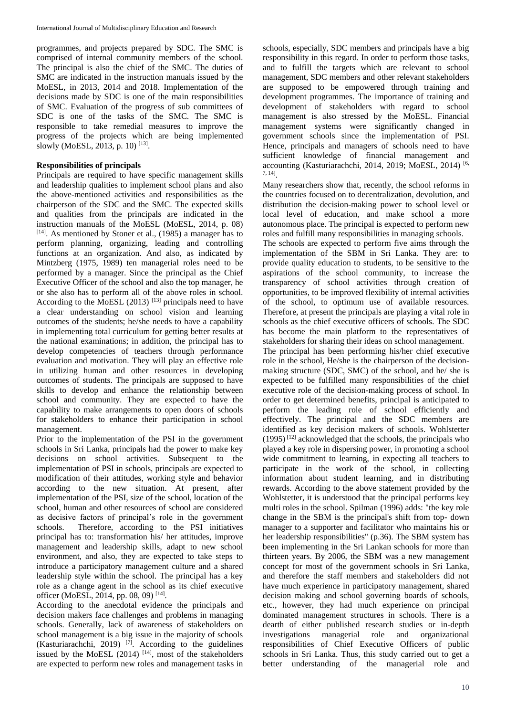programmes, and projects prepared by SDC. The SMC is comprised of internal community members of the school. The principal is also the chief of the SMC. The duties of SMC are indicated in the instruction manuals issued by the MoESL, in 2013, 2014 and 2018. Implementation of the decisions made by SDC is one of the main responsibilities of SMC. Evaluation of the progress of sub committees of SDC is one of the tasks of the SMC. The SMC is responsible to take remedial measures to improve the progress of the projects which are being implemented slowly (MoESL, 2013, p. 10)<sup>[13]</sup>.

# **Responsibilities of principals**

Principals are required to have specific management skills and leadership qualities to implement school plans and also the above-mentioned activities and responsibilities as the chairperson of the SDC and the SMC. The expected skills and qualities from the principals are indicated in the instruction manuals of the MoESL (MoESL, 2014, p. 08) [14]. As mentioned by Stoner et al., (1985) a manager has to perform planning, organizing, leading and controlling functions at an organization. And also, as indicated by Mintzberg (1975, 1989) ten managerial roles need to be performed by a manager. Since the principal as the Chief Executive Officer of the school and also the top manager, he or she also has to perform all of the above roles in school. According to the MoESL  $(2013)$ <sup>[13]</sup> principals need to have a clear understanding on school vision and learning outcomes of the students; he/she needs to have a capability in implementing total curriculum for getting better results at the national examinations; in addition, the principal has to develop competencies of teachers through performance evaluation and motivation. They will play an effective role in utilizing human and other resources in developing outcomes of students. The principals are supposed to have skills to develop and enhance the relationship between school and community. They are expected to have the capability to make arrangements to open doors of schools for stakeholders to enhance their participation in school management.

Prior to the implementation of the PSI in the government schools in Sri Lanka, principals had the power to make key decisions on school activities. Subsequent to the implementation of PSI in schools, principals are expected to modification of their attitudes, working style and behavior according to the new situation. At present, after implementation of the PSI, size of the school, location of the school, human and other resources of school are considered as decisive factors of principal's role in the government schools. Therefore, according to the PSI initiatives principal has to: transformation his/ her attitudes, improve management and leadership skills, adapt to new school environment, and also, they are expected to take steps to introduce a participatory management culture and a shared leadership style within the school. The principal has a key role as a change agent in the school as its chief executive officer (MoESL, 2014, pp. 08, 09)<sup>[14]</sup>.

According to the anecdotal evidence the principals and decision makers face challenges and problems in managing schools. Generally, lack of awareness of stakeholders on school management is a big issue in the majority of schools (Kasturiarachchi, 2019)  $^{[7]}$ . According to the guidelines issued by the MoESL  $(2014)$  <sup>[14]</sup>, most of the stakeholders are expected to perform new roles and management tasks in schools, especially, SDC members and principals have a big responsibility in this regard. In order to perform those tasks, and to fulfill the targets which are relevant to school management, SDC members and other relevant stakeholders are supposed to be empowered through training and development programmes. The importance of training and development of stakeholders with regard to school management is also stressed by the MoESL. Financial management systems were significantly changed in government schools since the implementation of PSI. Hence, principals and managers of schools need to have sufficient knowledge of financial management and accounting (Kasturiarachchi, 2014, 2019; MoESL, 2014)<sup>[6,</sup> 7, 14] .

Many researchers show that, recently, the school reforms in the countries focused on to decentralization, devolution, and distribution the decision-making power to school level or local level of education, and make school a more autonomous place. The principal is expected to perform new roles and fulfill many responsibilities in managing schools.

The schools are expected to perform five aims through the implementation of the SBM in Sri Lanka. They are: to provide quality education to students, to be sensitive to the aspirations of the school community, to increase the transparency of school activities through creation of opportunities, to be improved flexibility of internal activities of the school, to optimum use of available resources. Therefore, at present the principals are playing a vital role in schools as the chief executive officers of schools. The SDC has become the main platform to the representatives of stakeholders for sharing their ideas on school management. The principal has been performing his/her chief executive role in the school, He/she is the chairperson of the decision-

making structure (SDC, SMC) of the school, and he/ she is expected to be fulfilled many responsibilities of the chief executive role of the decision-making process of school. In order to get determined benefits, principal is anticipated to perform the leading role of school efficiently and effectively. The principal and the SDC members are identified as key decision makers of schools. Wohlstetter  $(1995)^{[12]}$  acknowledged that the schools, the principals who played a key role in dispersing power, in promoting a school wide commitment to learning, in expecting all teachers to participate in the work of the school, in collecting information about student learning, and in distributing rewards. According to the above statement provided by the Wohlstetter, it is understood that the principal performs key multi roles in the school. Spilman (1996) adds: "the key role change in the SBM is the principal's shift from top- down manager to a supporter and facilitator who maintains his or her leadership responsibilities" (p.36). The SBM system has been implementing in the Sri Lankan schools for more than thirteen years. By 2006, the SBM was a new management concept for most of the government schools in Sri Lanka, and therefore the staff members and stakeholders did not have much experience in participatory management, shared decision making and school governing boards of schools, etc., however, they had much experience on principal dominated management structures in schools. There is a dearth of either published research studies or in-depth investigations managerial role and organizational responsibilities of Chief Executive Officers of public schools in Sri Lanka. Thus, this study carried out to get a better understanding of the managerial role and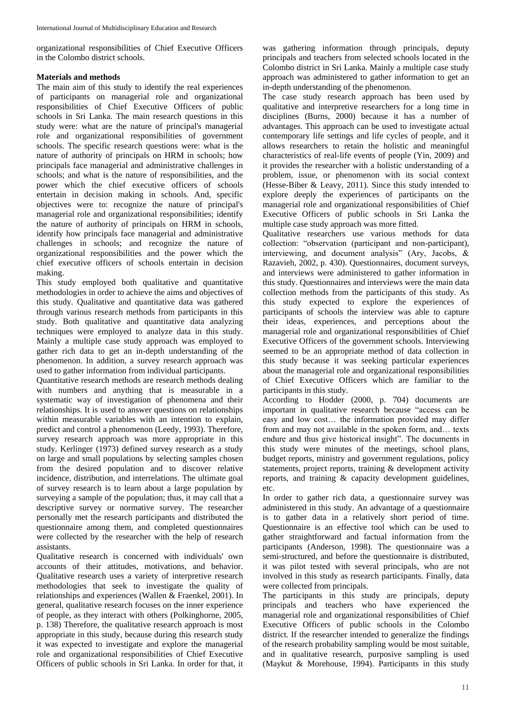organizational responsibilities of Chief Executive Officers in the Colombo district schools.

# **Materials and methods**

The main aim of this study to identify the real experiences of participants on managerial role and organizational responsibilities of Chief Executive Officers of public schools in Sri Lanka. The main research questions in this study were: what are the nature of principal's managerial role and organizational responsibilities of government schools. The specific research questions were: what is the nature of authority of principals on HRM in schools; how principals face managerial and administrative challenges in schools; and what is the nature of responsibilities, and the power which the chief executive officers of schools entertain in decision making in schools. And, specific objectives were to: recognize the nature of principal's managerial role and organizational responsibilities; identify the nature of authority of principals on HRM in schools, identify how principals face managerial and administrative challenges in schools; and recognize the nature of organizational responsibilities and the power which the chief executive officers of schools entertain in decision making.

This study employed both qualitative and quantitative methodologies in order to achieve the aims and objectives of this study. Qualitative and quantitative data was gathered through various research methods from participants in this study. Both qualitative and quantitative data analyzing techniques were employed to analyze data in this study. Mainly a multiple case study approach was employed to gather rich data to get an in-depth understanding of the phenomenon. In addition, a survey research approach was used to gather information from individual participants.

Quantitative research methods are research methods dealing with numbers and anything that is measurable in a systematic way of investigation of phenomena and their relationships. It is used to answer questions on relationships within measurable variables with an intention to explain, predict and control a phenomenon (Leedy, 1993). Therefore, survey research approach was more appropriate in this study. Kerlinger (1973) defined survey research as a study on large and small populations by selecting samples chosen from the desired population and to discover relative incidence, distribution, and interrelations. The ultimate goal of survey research is to learn about a large population by surveying a sample of the population; thus, it may call that a descriptive survey or normative survey. The researcher personally met the research participants and distributed the questionnaire among them, and completed questionnaires were collected by the researcher with the help of research assistants.

Qualitative research is concerned with individuals' own accounts of their attitudes, motivations, and behavior. Qualitative research uses a variety of interpretive research methodologies that seek to investigate the quality of relationships and experiences (Wallen & Fraenkel, 2001). In general, qualitative research focuses on the inner experience of people, as they interact with others (Polkinghorne, 2005, p. 138) Therefore, the qualitative research approach is most appropriate in this study, because during this research study it was expected to investigate and explore the managerial role and organizational responsibilities of Chief Executive Officers of public schools in Sri Lanka. In order for that, it was gathering information through principals, deputy principals and teachers from selected schools located in the Colombo district in Sri Lanka. Mainly a multiple case study approach was administered to gather information to get an in-depth understanding of the phenomenon.

The case study research approach has been used by qualitative and interpretive researchers for a long time in disciplines (Burns, 2000) because it has a number of advantages. This approach can be used to investigate actual contemporary life settings and life cycles of people, and it allows researchers to retain the holistic and meaningful characteristics of real-life events of people (Yin, 2009) and it provides the researcher with a holistic understanding of a problem, issue, or phenomenon with its social context (Hesse-Biber & Leavy, 2011). Since this study intended to explore deeply the experiences of participants on the managerial role and organizational responsibilities of Chief Executive Officers of public schools in Sri Lanka the multiple case study approach was more fitted.

Qualitative researchers use various methods for data collection: "observation (participant and non-participant), interviewing, and document analysis" (Ary, Jacobs, & Razavieh, 2002, p. 430). Questionnaires, document surveys, and interviews were administered to gather information in this study. Questionnaires and interviews were the main data collection methods from the participants of this study. As this study expected to explore the experiences of participants of schools the interview was able to capture their ideas, experiences, and perceptions about the managerial role and organizational responsibilities of Chief Executive Officers of the government schools. Interviewing seemed to be an appropriate method of data collection in this study because it was seeking particular experiences about the managerial role and organizational responsibilities of Chief Executive Officers which are familiar to the participants in this study.

According to Hodder (2000, p. 704) documents are important in qualitative research because "access can be easy and low cost… the information provided may differ from and may not available in the spoken form, and… texts endure and thus give historical insight". The documents in this study were minutes of the meetings, school plans, budget reports, ministry and government regulations, policy statements, project reports, training & development activity reports, and training & capacity development guidelines, etc.

In order to gather rich data, a questionnaire survey was administered in this study. An advantage of a questionnaire is to gather data in a relatively short period of time. Questionnaire is an effective tool which can be used to gather straightforward and factual information from the participants (Anderson, 1998). The questionnaire was a semi-structured, and before the questionnaire is distributed, it was pilot tested with several principals, who are not involved in this study as research participants. Finally, data were collected from principals.

The participants in this study are principals, deputy principals and teachers who have experienced the managerial role and organizational responsibilities of Chief Executive Officers of public schools in the Colombo district. If the researcher intended to generalize the findings of the research probability sampling would be most suitable, and in qualitative research, purposive sampling is used (Maykut & Morehouse, 1994). Participants in this study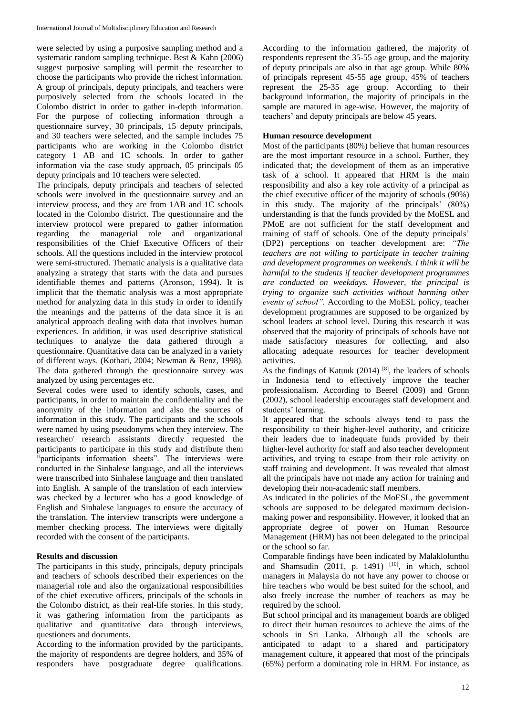were selected by using a purposive sampling method and a systematic random sampling technique. Best & Kahn (2006) suggest purposive sampling will permit the researcher to choose the participants who provide the richest information. A group of principals, deputy principals, and teachers were purposively selected from the schools located in the Colombo district in order to gather in-depth information. For the purpose of collecting information through a questionnaire survey, 30 principals, 15 deputy principals, and 30 teachers were selected, and the sample includes 75 participants who are working in the Colombo district category 1 AB and 1C schools. In order to gather information via the case study approach, 05 principals 05 deputy principals and 10 teachers were selected.

The principals, deputy principals and teachers of selected schools were involved in the questionnaire survey and an interview process, and they are from 1AB and 1C schools located in the Colombo district. The questionnaire and the interview protocol were prepared to gather information regarding the managerial role and organizational responsibilities of the Chief Executive Officers of their schools. All the questions included in the interview protocol were semi-structured. Thematic analysis is a qualitative data analyzing a strategy that starts with the data and pursues identifiable themes and patterns (Aronson, 1994). It is implicit that the thematic analysis was a most appropriate method for analyzing data in this study in order to identify the meanings and the patterns of the data since it is an analytical approach dealing with data that involves human experiences. In addition, it was used descriptive statistical techniques to analyze the data gathered through a questionnaire. Quantitative data can be analyzed in a variety of different ways. (Kothari, 2004; Newman & Benz, 1998). The data gathered through the questionnaire survey was analyzed by using percentages etc.

Several codes were used to identify schools, cases, and participants, in order to maintain the confidentiality and the anonymity of the information and also the sources of information in this study. The participants and the schools were named by using pseudonyms when they interview. The researcher/ research assistants directly requested the participants to participate in this study and distribute them "participants information sheets". The interviews were conducted in the Sinhalese language, and all the interviews were transcribed into Sinhalese language and then translated into English. A sample of the translation of each interview was checked by a lecturer who has a good knowledge of English and Sinhalese languages to ensure the accuracy of the translation. The interview transcripts were undergone a member checking process. The interviews were digitally recorded with the consent of the participants.

# **Results and discussion**

The participants in this study, principals, deputy principals and teachers of schools described their experiences on the managerial role and also the organizational responsibilities of the chief executive officers, principals of the schools in the Colombo district, as their real-life stories. In this study, it was gathering information from the participants as qualitative and quantitative data through interviews, questioners and documents.

According to the information provided by the participants, the majority of respondents are degree holders, and 35% of responders have postgraduate degree qualifications.

According to the information gathered, the majority of respondents represent the 35-55 age group, and the majority of deputy principals are also in that age group. While 80% of principals represent 45-55 age group, 45% of teachers represent the 25-35 age group. According to their background information, the majority of principals in the sample are matured in age-wise. However, the majority of teachers' and deputy principals are below 45 years.

# **Human resource development**

Most of the participants (80%) believe that human resources are the most important resource in a school. Further, they indicated that; the development of them as an imperative task of a school. It appeared that HRM is the main responsibility and also a key role activity of a principal as the chief executive officer of the majority of schools (90%) in this study. The majority of the principals' (80%) understanding is that the funds provided by the MoESL and PMoE are not sufficient for the staff development and training of staff of schools. One of the deputy principals' (DP2) perceptions on teacher development are: *"The teachers are not willing to participate in teacher training and development programmes on weekends. I think it will be harmful to the students if teacher development programmes are conducted on weekdays. However, the principal is trying to organize such activities without harming other events of school".* According to the MoESL policy, teacher development programmes are supposed to be organized by school leaders at school level. During this research it was observed that the majority of principals of schools have not made satisfactory measures for collecting, and also allocating adequate resources for teacher development activities.

As the findings of Katuuk  $(2014)$  [8], the leaders of schools in Indonesia tend to effectively improve the teacher professionalism. According to Beerel (2009) and Gronn (2002), school leadership encourages staff development and students' learning.

It appeared that the schools always tend to pass the responsibility to their higher-level authority, and criticize their leaders due to inadequate funds provided by their higher-level authority for staff and also teacher development activities, and trying to escape from their role activity on staff training and development. It was revealed that almost all the principals have not made any action for training and developing their non-academic staff members.

As indicated in the policies of the MoESL, the government schools are supposed to be delegated maximum decisionmaking power and responsibility. However, it looked that an appropriate degree of power on Human Resource Management (HRM) has not been delegated to the principal or the school so far.

Comparable findings have been indicated by Malaklolunthu and Shamsudin  $(2011, p. 1491)$  <sup>[10]</sup>, in which, school managers in Malaysia do not have any power to choose or hire teachers who would be best suited for the school, and also freely increase the number of teachers as may be required by the school.

But school principal and its management boards are obliged to direct their human resources to achieve the aims of the schools in Sri Lanka. Although all the schools are anticipated to adapt to a shared and participatory management culture, it appeared that most of the principals (65%) perform a dominating role in HRM. For instance, as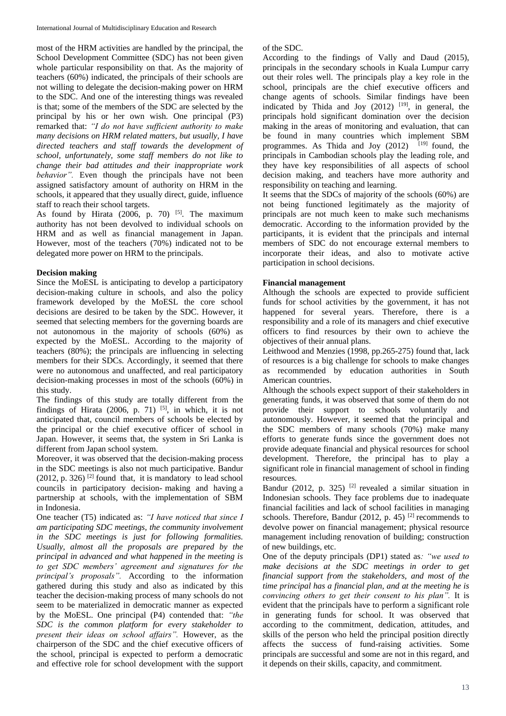most of the HRM activities are handled by the principal, the School Development Committee (SDC) has not been given whole particular responsibility on that. As the majority of teachers (60%) indicated, the principals of their schools are not willing to delegate the decision-making power on HRM to the SDC. And one of the interesting things was revealed is that; some of the members of the SDC are selected by the principal by his or her own wish. One principal (P3) remarked that: *"I do not have sufficient authority to make many decisions on HRM related matters, but usually, I have directed teachers and staff towards the development of school, unfortunately, some staff members do not like to change their bad attitudes and their inappropriate work behavior".* Even though the principals have not been assigned satisfactory amount of authority on HRM in the schools, it appeared that they usually direct, guide, influence staff to reach their school targets.

As found by Hirata  $(2006, p. 70)$  [5]. The maximum authority has not been devolved to individual schools on HRM and as well as financial management in Japan. However, most of the teachers (70%) indicated not to be delegated more power on HRM to the principals.

# **Decision making**

Since the MoESL is anticipating to develop a participatory decision-making culture in schools, and also the policy framework developed by the MoESL the core school decisions are desired to be taken by the SDC. However, it seemed that selecting members for the governing boards are not autonomous in the majority of schools (60%) as expected by the MoESL. According to the majority of teachers (80%); the principals are influencing in selecting members for their SDCs. Accordingly, it seemed that there were no autonomous and unaffected, and real participatory decision-making processes in most of the schools (60%) in this study.

The findings of this study are totally different from the findings of Hirata  $(2006, p. 71)$  [5], in which, it is not anticipated that, council members of schools be elected by the principal or the chief executive officer of school in Japan. However, it seems that, the system in Sri Lanka is different from Japan school system.

Moreover, it was observed that the decision-making process in the SDC meetings is also not much participative. Bandur  $(2012, p. 326)$ <sup>[2]</sup> found that, it is mandatory to lead school councils in participatory decision- making and having a partnership at schools, with the implementation of SBM in Indonesia.

One teacher (T5) indicated as: *"I have noticed that since I am participating SDC meetings, the community involvement in the SDC meetings is just for following formalities. Usually, almost all the proposals are prepared by the principal in advanced and what happened in the meeting is to get SDC members' agreement and signatures for the principal's proposals".* According to the information gathered during this study and also as indicated by this teacher the decision-making process of many schools do not seem to be materialized in democratic manner as expected by the MoESL. One principal (P4) contended that: *"the SDC is the common platform for every stakeholder to present their ideas on school affairs".* However, as the chairperson of the SDC and the chief executive officers of the school, principal is expected to perform a democratic and effective role for school development with the support of the SDC.

According to the findings of Vally and Daud (2015), principals in the secondary schools in Kuala Lumpur carry out their roles well. The principals play a key role in the school, principals are the chief executive officers and change agents of schools. Similar findings have been indicated by Thida and Joy  $(2012)$  <sup>[19]</sup>, in general, the principals hold significant domination over the decision making in the areas of monitoring and evaluation, that can be found in many countries which implement SBM programmes. As Thida and Joy  $(2012)$  <sup>[19]</sup> found, the principals in Cambodian schools play the leading role, and they have key responsibilities of all aspects of school decision making, and teachers have more authority and responsibility on teaching and learning.

It seems that the SDCs of majority of the schools (60%) are not being functioned legitimately as the majority of principals are not much keen to make such mechanisms democratic. According to the information provided by the participants, it is evident that the principals and internal members of SDC do not encourage external members to incorporate their ideas, and also to motivate active participation in school decisions.

# **Financial management**

Although the schools are expected to provide sufficient funds for school activities by the government, it has not happened for several years. Therefore, there is a responsibility and a role of its managers and chief executive officers to find resources by their own to achieve the objectives of their annual plans.

Leithwood and Menzies (1998, pp.265-275) found that, lack of resources is a big challenge for schools to make changes as recommended by education authorities in South American countries.

Although the schools expect support of their stakeholders in generating funds, it was observed that some of them do not provide their support to schools voluntarily and autonomously. However, it seemed that the principal and the SDC members of many schools (70%) make many efforts to generate funds since the government does not provide adequate financial and physical resources for school development. Therefore, the principal has to play a significant role in financial management of school in finding resources.

Bandur (2012, p. 325) <sup>[2]</sup> revealed a similar situation in Indonesian schools. They face problems due to inadequate financial facilities and lack of school facilities in managing schools. Therefore, Bandur  $(2012, p. 45)$ <sup>[2]</sup> recommends to devolve power on financial management; physical resource management including renovation of building; construction of new buildings, etc.

One of the deputy principals (DP1) stated as*: "we used to make decisions at the SDC meetings in order to get financial support from the stakeholders, and most of the time principal has a financial plan, and at the meeting he is convincing others to get their consent to his plan".* It is evident that the principals have to perform a significant role in generating funds for school. It was observed that according to the commitment, dedication, attitudes, and skills of the person who held the principal position directly affects the success of fund-raising activities. Some principals are successful and some are not in this regard, and it depends on their skills, capacity, and commitment.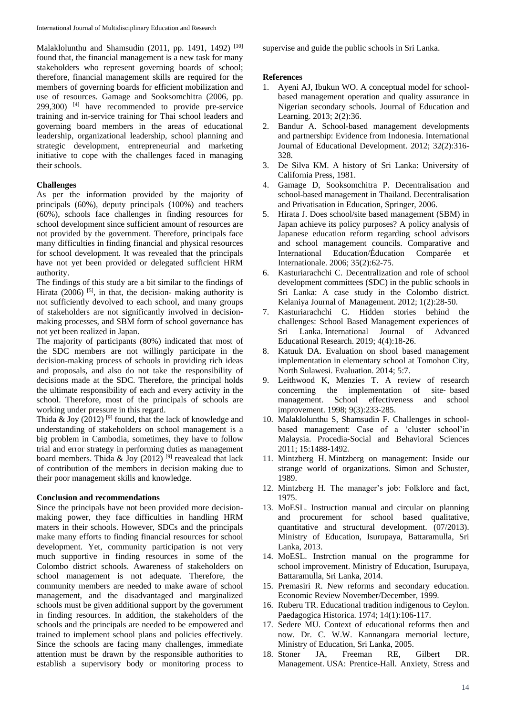Malaklolunthu and Shamsudin (2011, pp. 1491, 1492)<sup>[10]</sup> found that, the financial management is a new task for many stakeholders who represent governing boards of school; therefore, financial management skills are required for the members of governing boards for efficient mobilization and use of resources. Gamage and Sooksomchitra (2006, pp. 299,300) [4] have recommended to provide pre-service training and in-service training for Thai school leaders and governing board members in the areas of educational leadership, organizational leadership, school planning and strategic development, entrepreneurial and marketing initiative to cope with the challenges faced in managing their schools.

#### **Challenges**

As per the information provided by the majority of principals (60%), deputy principals (100%) and teachers (60%), schools face challenges in finding resources for school development since sufficient amount of resources are not provided by the government. Therefore, principals face many difficulties in finding financial and physical resources for school development. It was revealed that the principals have not yet been provided or delegated sufficient HRM authority.

The findings of this study are a bit similar to the findings of Hirata (2006)  $[5]$ , in that, the decision- making authority is not sufficiently devolved to each school, and many groups of stakeholders are not significantly involved in decisionmaking processes, and SBM form of school governance has not yet been realized in Japan.

The majority of participants (80%) indicated that most of the SDC members are not willingly participate in the decision-making process of schools in providing rich ideas and proposals, and also do not take the responsibility of decisions made at the SDC. Therefore, the principal holds the ultimate responsibility of each and every activity in the school. Therefore, most of the principals of schools are working under pressure in this regard.

Thida & Joy (2012)<sup>[9]</sup> found, that the lack of knowledge and understanding of stakeholders on school management is a big problem in Cambodia, sometimes, they have to follow trial and error strategy in performing duties as management board members. Thida & Joy (2012) <sup>[9]</sup> reavealead that lack of contribution of the members in decision making due to their poor management skills and knowledge.

#### **Conclusion and recommendations**

Since the principals have not been provided more decisionmaking power, they face difficulties in handling HRM maters in their schools. However, SDCs and the principals make many efforts to finding financial resources for school development. Yet, community participation is not very much supportive in finding resources in some of the Colombo district schools. Awareness of stakeholders on school management is not adequate. Therefore, the community members are needed to make aware of school management, and the disadvantaged and marginalized schools must be given additional support by the government in finding resources. In addition, the stakeholders of the schools and the principals are needed to be empowered and trained to implement school plans and policies effectively. Since the schools are facing many challenges, immediate attention must be drawn by the responsible authorities to establish a supervisory body or monitoring process to

supervise and guide the public schools in Sri Lanka.

#### **References**

- 1. Ayeni AJ, Ibukun WO. A conceptual model for schoolbased management operation and quality assurance in Nigerian secondary schools. Journal of Education and Learning. 2013; 2(2):36.
- 2. Bandur A. School-based management developments and partnership: Evidence from Indonesia. International Journal of Educational Development. 2012; 32(2):316- 328.
- 3. De Silva KM. A history of Sri Lanka: University of California Press, 1981.
- 4. Gamage D, Sooksomchitra P. Decentralisation and school-based management in Thailand. Decentralisation and Privatisation in Education, Springer, 2006.
- 5. Hirata J. Does school/site based management (SBM) in Japan achieve its policy purposes? A policy analysis of Japanese education reform regarding school advisors and school management councils. Comparative and International Education/Éducation Comparée et Internationale. 2006; 35(2):62-75.
- 6. Kasturiarachchi C. Decentralization and role of school development committees (SDC) in the public schools in Sri Lanka: A case study in the Colombo district. Kelaniya Journal of Management. 2012; 1(2):28-50.
- 7. Kasturiarachchi C. Hidden stories behind the challenges: School Based Management experiences of Sri Lanka. International Journal of Advanced Educational Research. 2019; 4(4):18-26.
- 8. Katuuk DA. Evaluation on shool based management implementation in elementary school at Tomohon City, North Sulawesi. Evaluation. 2014; 5:7.
- 9. Leithwood K, Menzies T. A review of research concerning the implementation of site-based management. School effectiveness and school improvement. 1998; 9(3):233-285.
- 10. Malaklolunthu S, Shamsudin F. Challenges in schoolbased management: Case of a 'cluster school'in Malaysia. Procedia-Social and Behavioral Sciences 2011; 15:1488-1492.
- 11. Mintzberg H. Mintzberg on management: Inside our strange world of organizations. Simon and Schuster, 1989.
- 12. Mintzberg H. The manager's job: Folklore and fact, 1975.
- 13. MoESL. Instruction manual and circular on planning and procurement for school based qualitative, quantitative and structural development. (07/2013). Ministry of Education, Isurupaya, Battaramulla, Sri Lanka, 2013.
- 14. MoESL. Instrction manual on the programme for school improvement. Ministry of Education, Isurupaya, Battaramulla, Sri Lanka, 2014.
- 15. Premasiri R. New reforms and secondary education. Economic Review November/December, 1999.
- 16. Ruberu TR. Educational tradition indigenous to Ceylon. Paedagogica Historica. 1974; 14(1):106-117.
- 17. Sedere MU. Context of educational reforms then and now. Dr. C. W.W. Kannangara memorial lecture, Ministry of Education, Sri Lanka, 2005.
- 18. Stoner JA, Freeman RE, Gilbert DR. Management. USA: Prentice-Hall. Anxiety, Stress and